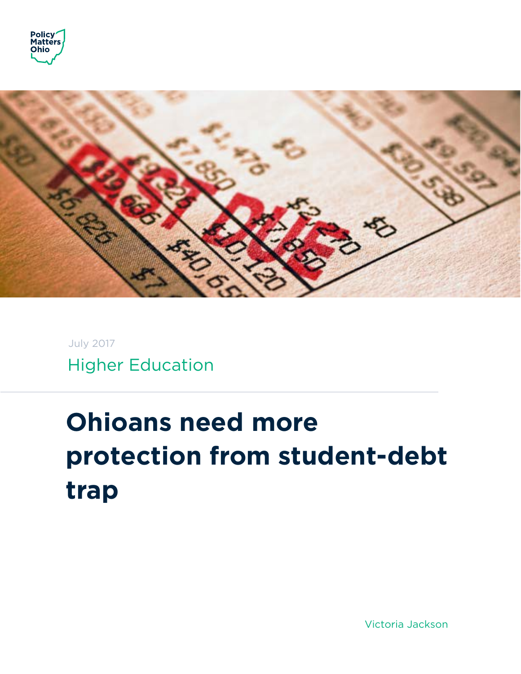



Higher Education July 2017

# **Ohioans need more protection from student-debt trap**

Victoria Jackson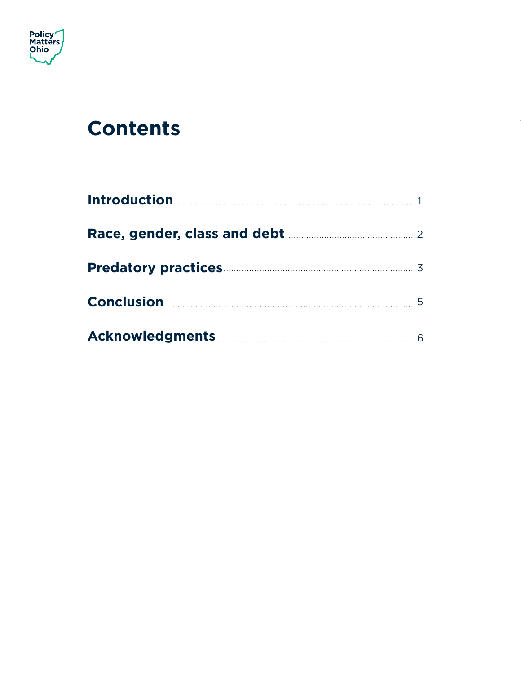

### **Contents**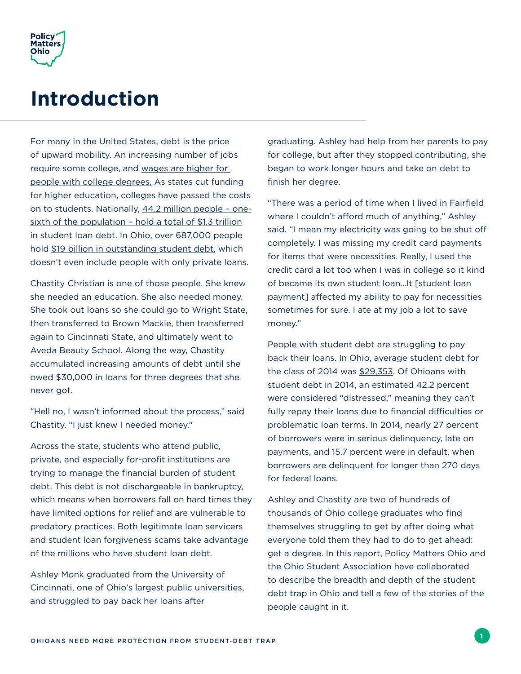

#### **Introduction**

For many in the United States, debt is the price of upward mobility. An increasing number of jobs require some college, and [wages are higher for](http://www.epi.org/blog/looking-at-the-latest-wage-data-by-education-level/)  [people with college degrees.](http://www.epi.org/blog/looking-at-the-latest-wage-data-by-education-level/) As states cut funding for higher education, colleges have passed the costs on to students. Nationally, [44.2 million people – one](https://www.forbes.com/sites/zackfriedman/2017/02/21/student-loan-debt-statistics-2017/#380c25705dab)[sixth of the population – hold a total of \\$1.3 trillion](https://www.forbes.com/sites/zackfriedman/2017/02/21/student-loan-debt-statistics-2017/#380c25705dab) in student loan debt. In Ohio, over 687,000 people hold [\\$19 billion in outstanding student debt](https://obamawhitehouse.archives.gov/blog/2016/04/28/six-recent-trends-student-debt), which doesn't even include people with only private loans.

Chastity Christian is one of those people. She knew she needed an education. She also needed money. She took out loans so she could go to Wright State, then transferred to Brown Mackie, then transferred again to Cincinnati State, and ultimately went to Aveda Beauty School. Along the way, Chastity accumulated increasing amounts of debt until she owed \$30,000 in loans for three degrees that she never got.

"Hell no, I wasn't informed about the process," said Chastity. "I just knew I needed money."

Across the state, students who attend public, private, and especially for-profit institutions are trying to manage the financial burden of student debt. This debt is not dischargeable in bankruptcy, which means when borrowers fall on hard times they have limited options for relief and are vulnerable to predatory practices. Both legitimate loan servicers and student loan forgiveness scams take advantage of the millions who have student loan debt.

Ashley Monk graduated from the University of Cincinnati, one of Ohio's largest public universities, and struggled to pay back her loans after

graduating. Ashley had help from her parents to pay for college, but after they stopped contributing, she began to work longer hours and take on debt to finish her degree.

"There was a period of time when I lived in Fairfield where I couldn't afford much of anything," Ashley said. "I mean my electricity was going to be shut off completely. I was missing my credit card payments for items that were necessities. Really, I used the credit card a lot too when I was in college so it kind of became its own student loan…It [student loan payment] affected my ability to pay for necessities sometimes for sure. I ate at my job a lot to save money."

People with student debt are struggling to pay back their loans. In Ohio, average student debt for the class of 2014 was [\\$29,353.](http://ticas.org/sites/default/files/pub_files/classof2014.pdf) Of Ohioans with student debt in 2014, an estimated 42.2 percent were considered "distressed," meaning they can't fully repay their loans due to financial difficulties or problematic loan terms. In 2014, nearly 27 percent of borrowers were in serious delinquency, late on payments, and 15.7 percent were in default, when borrowers are delinquent for longer than 270 days for federal loans.

Ashley and Chastity are two of hundreds of thousands of Ohio college graduates who find themselves struggling to get by after doing what everyone told them they had to do to get ahead: get a degree. In this report, Policy Matters Ohio and the Ohio Student Association have collaborated to describe the breadth and depth of the student debt trap in Ohio and tell a few of the stories of the people caught in it.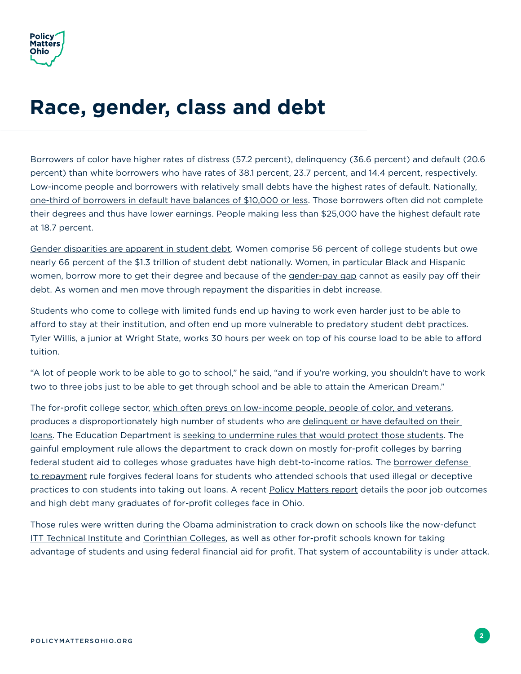

### **Race, gender, class and debt**

Borrowers of color have higher rates of distress (57.2 percent), delinquency (36.6 percent) and default (20.6 percent) than white borrowers who have rates of 38.1 percent, 23.7 percent, and 14.4 percent, respectively. Low-income people and borrowers with relatively small debts have the highest rates of default. Nationally, [one-third of borrowers in default have balances of \\$10,000 or less.](https://www.nytimes.com/2015/09/01/upshot/why-students-with-smallest-debts-need-the-greatest-help.html) Those borrowers often did not complete their degrees and thus have lower earnings. People making less than \$25,000 have the highest default rate at 18.7 percent.

[Gender disparities are apparent in student debt](http://www.aauw.org/research/deeper-in-debt/). Women comprise 56 percent of college students but owe nearly 66 percent of the \$1.3 trillion of student debt nationally. Women, in particular Black and Hispanic women, borrow more to get their degree and because of the [gender-pay gap](http://www.epi.org/publication/womens-work-and-the-gender-pay-gap-how-discrimination-societal-norms-and-other-forces-affect-womens-occupational-choices-and-their-pay/) cannot as easily pay off their debt. As women and men move through repayment the disparities in debt increase.

Students who come to college with limited funds end up having to work even harder just to be able to afford to stay at their institution, and often end up more vulnerable to predatory student debt practices. Tyler Willis, a junior at Wright State, works 30 hours per week on top of his course load to be able to afford tuition.

"A lot of people work to be able to go to school," he said, "and if you're working, you shouldn't have to work two to three jobs just to be able to get through school and be able to attain the American Dream."

The for-profit college sector, [which often preys on low-income people, people of color, and veterans](http://www.npr.org/2017/03/27/521371034/how-for-profit-colleges-sell-risky-education-to-the-most-vulnerable), produces a disproportionately high number of students who are delinquent or have defaulted on their [loans.](https://www.insidehighered.com/news/2015/09/11/study-finds-profit-colleges-drove-spike-student-loan-defaults) The Education Department is [seeking to undermine rules that would protect those students](https://www.washingtonpost.com/news/answer-sheet/wp/2017/06/14/betsy-devos-delays-2-obama-era-rules-designed-to-protect-students-from-predatory-for-profit-colleges/?utm_term=.dda0731b8690). The gainful employment rule allows the department to crack down on mostly for-profit colleges by barring federal student aid to colleges whose graduates have high debt-to-income ratios. The [borrower defense](https://studentaid.ed.gov/sa/repay-loans/forgiveness-cancellation/borrower-defense)  [to repayment](https://studentaid.ed.gov/sa/repay-loans/forgiveness-cancellation/borrower-defense) rule forgives federal loans for students who attended schools that used illegal or deceptive practices to con students into taking out loans. A recent [Policy Matters report](http://www.policymattersohio.org/research-policy/quality-ohio/education-training/risky-business-for-profit-education-in-ohio) details the poor job outcomes and high debt many graduates of for-profit colleges face in Ohio.

Those rules were written during the Obama administration to crack down on schools like the now-defunct [ITT Technical Institute](http://www.npr.org/sections/thetwo-way/2016/09/06/492819673/large-for-profit-itt-technical-institutes-will-close-its-doors) and [Corinthian Colleges](https://www.usnews.com/news/articles/2015/04/27/for-profit-corinthian-colleges-shuts-down-all-remaining-campuses), as well as other for-profit schools known for taking advantage of students and using federal financial aid for profit. That system of accountability is under attack.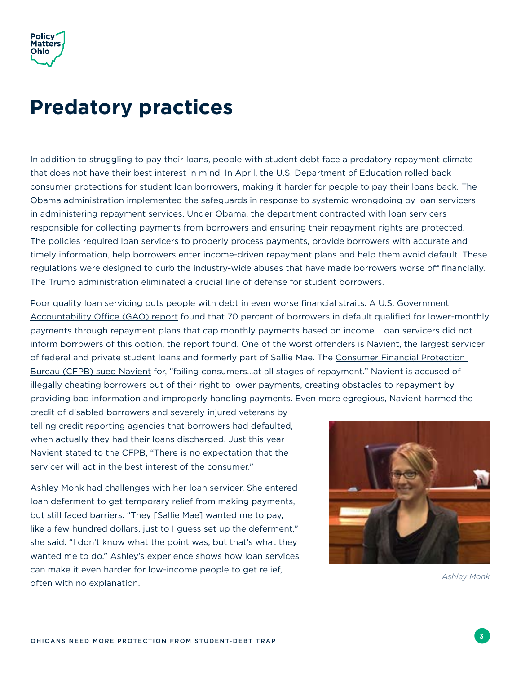#### **Predatory practices**

In addition to struggling to pay their loans, people with student debt face a predatory repayment climate that does not have their best interest in mind. In April, the U.S. Department of Education rolled back [consumer protections for student loan borrowers,](https://www.washingtonpost.com/news/grade-point/wp/2017/04/11/devos-dials-back-consumer-protections-for-student-loan-borrowers/?utm_term=.008660164285) making it harder for people to pay their loans back. The Obama administration implemented the safeguards in response to systemic wrongdoing by loan servicers in administering repayment services. Under Obama, the department contracted with loan servicers responsible for collecting payments from borrowers and ensuring their repayment rights are protected. The [policies](https://www.ed.gov/news/press-releases/education-department-implement-improved-customer-service-and-enhanced-protections-student-loan-borrowers) required loan servicers to properly process payments, provide borrowers with accurate and timely information, help borrowers enter income-driven repayment plans and help them avoid default. These regulations were designed to curb the industry-wide abuses that have made borrowers worse off financially. The Trump administration eliminated a crucial line of defense for student borrowers.

Poor quality loan servicing puts people with debt in even worse financial straits. A [U.S. Government](http://www.gao.gov/products/GAO-16-523)  [Accountability O](http://www.gao.gov/products/GAO-16-523)ffice (GAO) report found that 70 percent of borrowers in default qualified for lower-monthly payments through repayment plans that cap monthly payments based on income. Loan servicers did not inform borrowers of this option, the report found. One of the worst ofenders is Navient, the largest servicer of federal and private student loans and formerly part of Sallie Mae. The [Consumer Financial Protection](https://www.consumerfinance.gov/about-us/newsroom/cfpb-sues-nations-largest-student-loan-company-navient-failing-borrowers-every-stage-repayment/)  [Bureau \(CFPB\) sued Navient](https://www.consumerfinance.gov/about-us/newsroom/cfpb-sues-nations-largest-student-loan-company-navient-failing-borrowers-every-stage-repayment/) for, "failing consumers…at all stages of repayment." Navient is accused of illegally cheating borrowers out of their right to lower payments, creating obstacles to repayment by providing bad information and improperly handling payments. Even more egregious, Navient harmed the

credit of disabled borrowers and severely injured veterans by telling credit reporting agencies that borrowers had defaulted, when actually they had their loans discharged. Just this year [Navient stated to the CFPB](https://www.bloomberg.com/news/articles/2017-04-03/student-debt-giant-navient-to-borrowers-you-re-on-your-own), "There is no expectation that the servicer will act in the best interest of the consumer."

Ashley Monk had challenges with her loan servicer. She entered loan deferment to get temporary relief from making payments, but still faced barriers. "They [Sallie Mae] wanted me to pay, like a few hundred dollars, just to I guess set up the deferment," she said. "I don't know what the point was, but that's what they wanted me to do." Ashley's experience shows how loan services can make it even harder for low-income people to get relief, often with no explanation. *Ashley Monk*

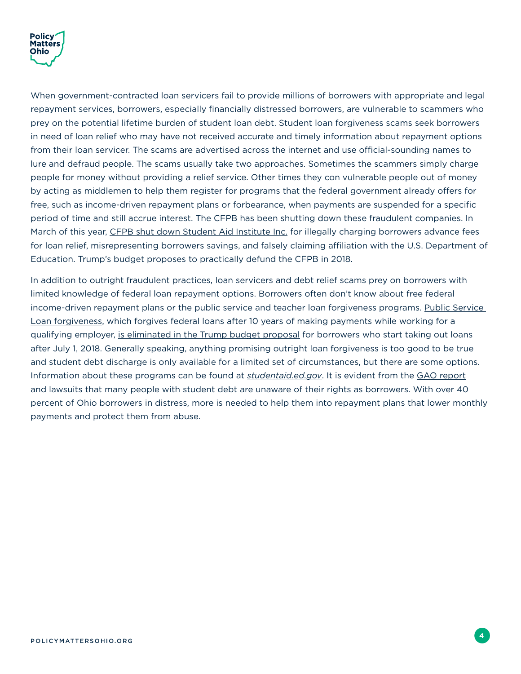

When government-contracted loan servicers fail to provide millions of borrowers with appropriate and legal repayment services, borrowers, especially [financially distressed borrowers](http://www.dispatch.com/business/20170614/states-play-whac-mole-with-student-loan-relief-scams), are vulnerable to scammers who prey on the potential lifetime burden of student loan debt. Student loan forgiveness scams seek borrowers in need of loan relief who may have not received accurate and timely information about repayment options from their loan servicer. The scams are advertised across the internet and use official-sounding names to lure and defraud people. The scams usually take two approaches. Sometimes the scammers simply charge people for money without providing a relief service. Other times they con vulnerable people out of money by acting as middlemen to help them register for programs that the federal government already ofers for free, such as income-driven repayment plans or forbearance, when payments are suspended for a specific period of time and still accrue interest. The CFPB has been shutting down these fraudulent companies. In March of this year, [CFPB shut down Student Aid Institute Inc.](https://www.consumerfinance.gov/about-us/newsroom/cfpb-halts-student-loan-debt-relief-scam/) for illegally charging borrowers advance fees for loan relief, misrepresenting borrowers savings, and falsely claiming affiliation with the U.S. Department of Education. Trump's budget proposes to practically defund the CFPB in 2018.

In addition to outright fraudulent practices, loan servicers and debt relief scams prey on borrowers with limited knowledge of federal loan repayment options. Borrowers often don't know about free federal income-driven repayment plans or the public service and teacher loan forgiveness programs. Public Service [Loan forgiveness](https://studentaid.ed.gov/sa/repay-loans/forgiveness-cancellation/public-service), which forgives federal loans after 10 years of making payments while working for a qualifying employer, [is eliminated in the Trump budget proposal](https://www.whitehouse.gov/sites/whitehouse.gov/files/omb/budget/fy2018/budget.pdf) for borrowers who start taking out loans after July 1, 2018. Generally speaking, anything promising outright loan forgiveness is too good to be true and student debt discharge is only available for a limited set of circumstances, but there are some options. Information about these programs can be found at *[studentaid.ed.gov](https://studentaid.ed.gov/sa/)*. It is evident from the [GAO report](http://www.gao.gov/products/GAO-16-523) and lawsuits that many people with student debt are unaware of their rights as borrowers. With over 40 percent of Ohio borrowers in distress, more is needed to help them into repayment plans that lower monthly payments and protect them from abuse.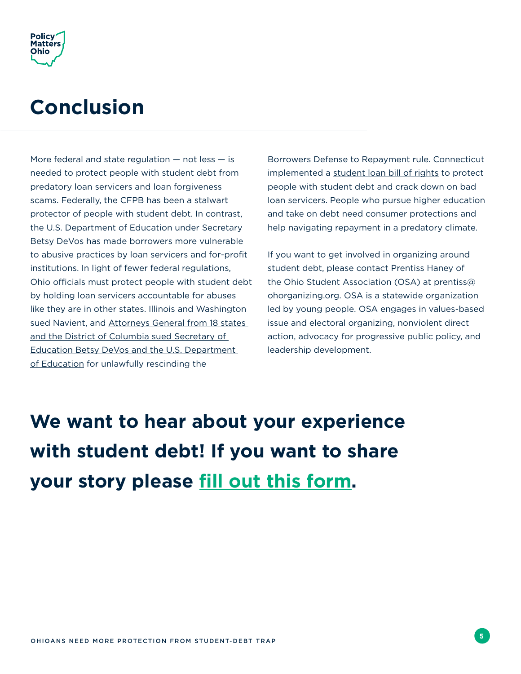

#### **Conclusion**

More federal and state regulation  $-$  not less  $-$  is needed to protect people with student debt from predatory loan servicers and loan forgiveness scams. Federally, the CFPB has been a stalwart protector of people with student debt. In contrast, the U.S. Department of Education under Secretary Betsy DeVos has made borrowers more vulnerable to abusive practices by loan servicers and for-profit institutions. In light of fewer federal regulations, Ohio officials must protect people with student debt by holding loan servicers accountable for abuses like they are in other states. Illinois and Washington sued Navient, and Attorneys General from 18 states [and the District of Columbia sued Secretary of](https://www.nytimes.com/2017/07/06/business/dealbook/massachusetts-betsy-devos-lawsuit.html?mcubz=0)  [Education Betsy DeVos and the U.S. Department](https://www.nytimes.com/2017/07/06/business/dealbook/massachusetts-betsy-devos-lawsuit.html?mcubz=0)  [of Education](https://www.nytimes.com/2017/07/06/business/dealbook/massachusetts-betsy-devos-lawsuit.html?mcubz=0) for unlawfully rescinding the

Borrowers Defense to Repayment rule. Connecticut implemented a [student loan bill of rights](http://wtnh.com/2015/07/14/connecticut-is-the-first-state-to-implement-student-loan-bill-of-rights/) to protect people with student debt and crack down on bad loan servicers. People who pursue higher education and take on debt need consumer protections and help navigating repayment in a predatory climate.

If you want to get involved in organizing around student debt, please contact Prentiss Haney of the [Ohio Student Association](http://www.ohiostudentassociation.org/) (OSA) at prentiss@ ohorganizing.org. OSA is a statewide organization led by young people. OSA engages in values-based issue and electoral organizing, nonviolent direct action, advocacy for progressive public policy, and leadership development.

**We want to hear about your experience with student debt! If you want to share your story please [fill out this form](http://www.policymattersohio.org/research-policy/student-debt).**